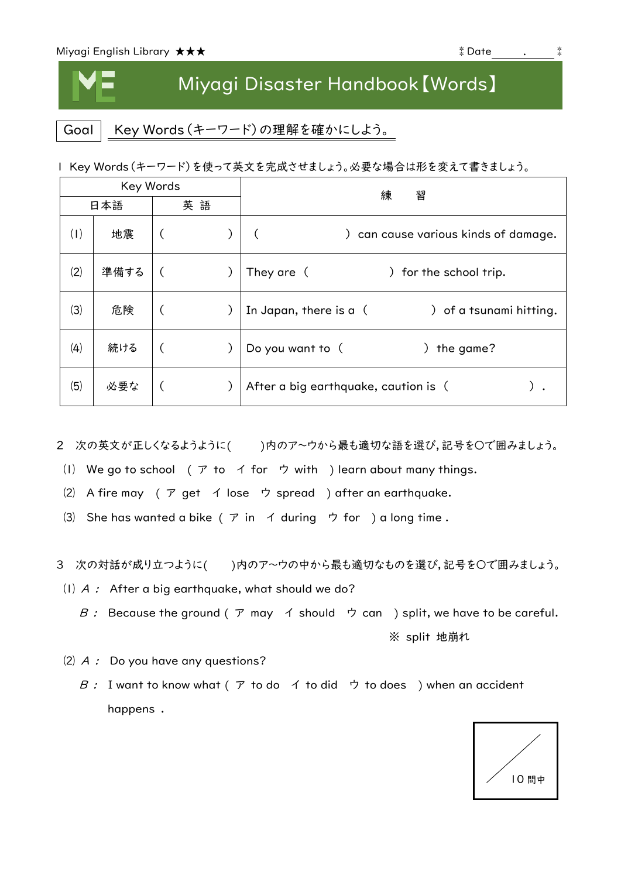I

## Miyagi Disaster Handbook【Words】

Goal | Key Words (キーワード)の理解を確かにしよう。

|  |  |  | I Key Words(キーワード)を使って英文を完成させましょう。必要な場合は形を変えて書きましょう。 |
|--|--|--|------------------------------------------------------|
|--|--|--|------------------------------------------------------|

| Key Words |      |    | 練<br>習                                            |
|-----------|------|----|---------------------------------------------------|
| 日本語       |      | 英語 |                                                   |
| (1)       | 地震   |    | ) can cause various kinds of damage.              |
| (2)       | 準備する |    | They are (<br>for the school trip.                |
| (3)       | 危険   |    | In Japan, there is a (<br>) of a tsunami hitting. |
| (4)       | 続ける  |    | Do you want to (<br>the game?                     |
| (5)       | 必要な  |    | After a big earthquake, caution is (              |

2 次の英文が正しくなるようように()内のア~ウから最も適切な語を選び,記号を○で囲みましょう。

- (I) We go to school ( $\mathcal{T}$  to  $\mathcal{A}$  for  $\mathcal{D}$  with ) learn about many things.
- ⑵ A fire may ( ア get イ lose ウ spread ) after an earthquake.
- (3) She has wanted a bike ( $\mathcal P$  in  $\mathcal A$  during  $\mathcal P$  for ) a long time.

3 次の対話が成り立つように()内のア~ウの中から最も適切なものを選び、記号を○で囲みましょう。

- (1)  $A$  : After a big earthquake, what should we do?
	- B : Because the ground (ア may イ should ウ can ) split, we have to be careful. ※ split 地崩れ
- $(2)$  A : Do you have any questions?
	- B : I want to know what (  $\triangledown$  to do  $\preceq$  to did  $\triangledown$  to does ) when an accident happens .

10 問中